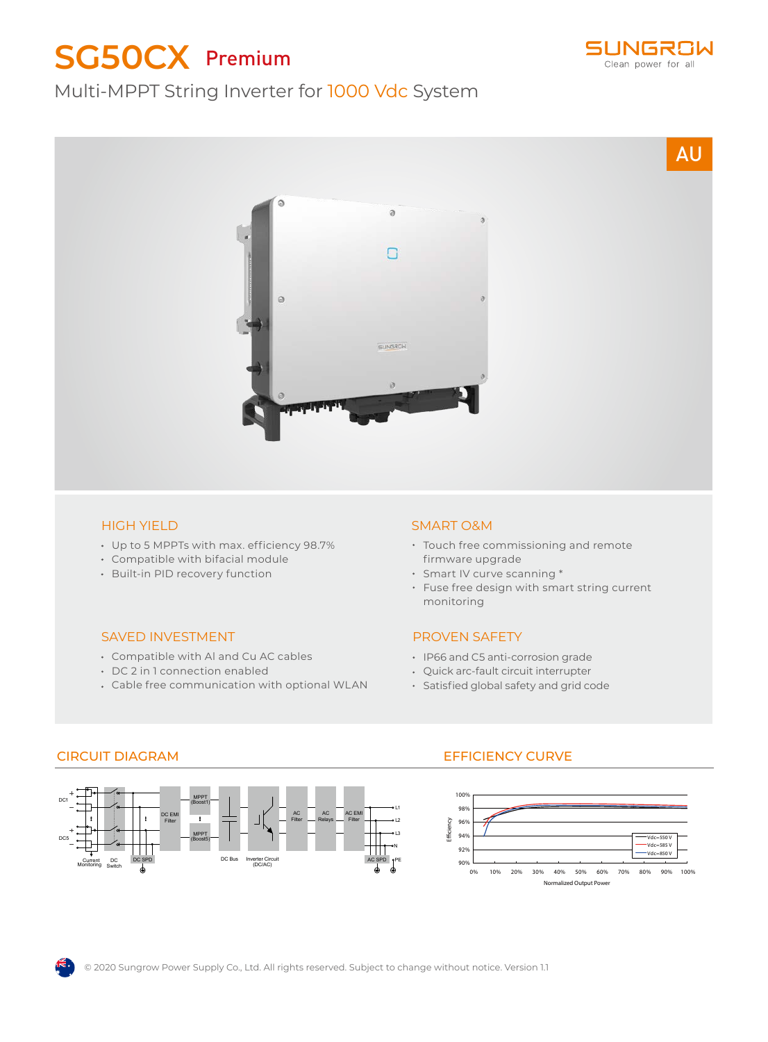# **SG50CX** Premium







#### HIGH YIELD

- Up to 5 MPPTs with max. efficiency 98.7%
- Compatible with bifacial module
- Built-in PID recovery function

#### SAVED INVESTMENT

- Compatible with Al and Cu AC cables
- DC 2 in 1 connection enabled
- Cable free communication with optional WLAN

#### SMART O&M

- Touch free commissioning and remote firmware upgrade
- Smart IV curve scanning \*
- Fuse free design with smart string current monitoring

### PROVEN SAFETY

- IP66 and C5 anti-corrosion grade
- Quick arc-fault circuit interrupter
- Satisfied global safety and grid code



## CIRCUIT DIAGRAM EFFICIENCY CURVE